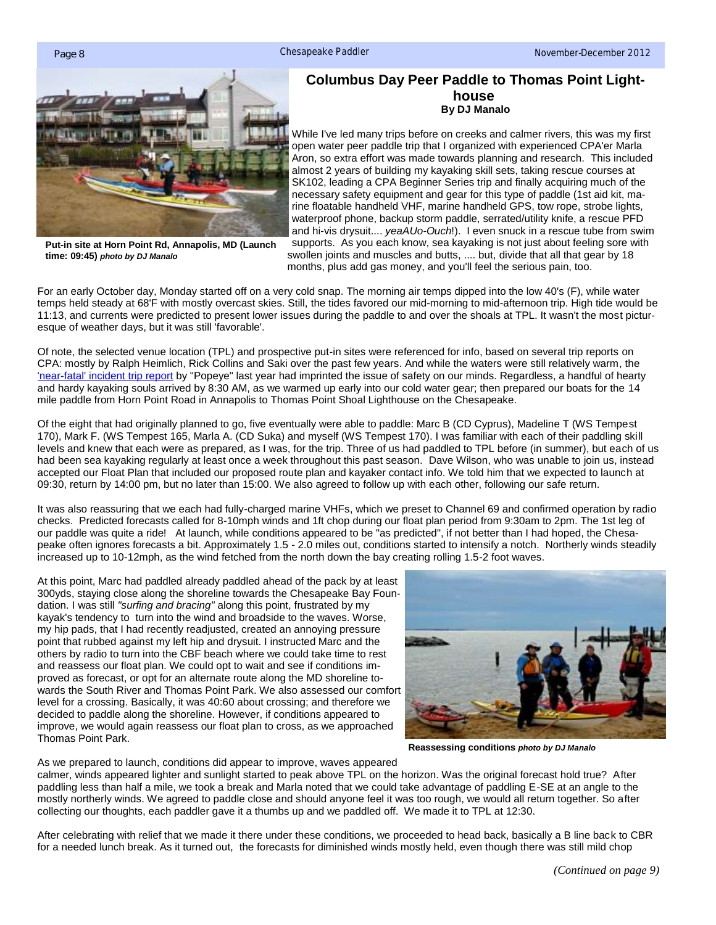

## **Columbus Day Peer Paddle to Thomas Point Lighthouse By DJ Manalo**

While I've led many trips before on creeks and calmer rivers, this was my first open water peer paddle trip that I organized with experienced CPA'er Marla Aron, so extra effort was made towards planning and research. This included almost 2 years of building my kayaking skill sets, taking rescue courses at SK102, leading a CPA Beginner Series trip and finally acquiring much of the necessary safety equipment and gear for this type of paddle (1st aid kit, marine floatable handheld VHF, marine handheld GPS, tow rope, strobe lights, waterproof phone, backup storm paddle, serrated/utility knife, a rescue PFD and hi-vis drysuit.... *yeaAUo-Ouch*!). I even snuck in a rescue tube from swim supports. As you each know, sea kayaking is not just about feeling sore with

**Put-in site at Horn Point Rd, Annapolis, MD (Launch time: 09:45)** *photo by DJ Manalo*

swollen joints and muscles and butts, .... but, divide that all that gear by 18 months, plus add gas money, and you'll feel the serious pain, too.

For an early October day, Monday started off on a very cold snap. The morning air temps dipped into the low 40's (F), while water temps held steady at 68'F with mostly overcast skies. Still, the tides favored our mid-morning to mid-afternoon trip. High tide would be 11:13, and currents were predicted to present lower issues during the paddle to and over the shoals at TPL. It wasn't the most picturesque of weather days, but it was still 'favorable'.

Of note, the selected venue location (TPL) and prospective put-in sites were referenced for info, based on several trip reports on CPA: mostly by Ralph Heimlich, Rick Collins and Saki over the past few years. And while the waters were still relatively warm, the ['near-fatal' incident trip report](http://www.cpakayaker.com/forums/viewtopic.php?f=25&t=6404) by "Popeye" last year had imprinted the issue of safety on our minds. Regardless, a handful of hearty and hardy kayaking souls arrived by 8:30 AM, as we warmed up early into our cold water gear; then prepared our boats for the 14 mile paddle from Horn Point Road in Annapolis to Thomas Point Shoal Lighthouse on the Chesapeake.

Of the eight that had originally planned to go, five eventually were able to paddle: Marc B (CD Cyprus), Madeline T (WS Tempest 170), Mark F. (WS Tempest 165, Marla A. (CD Suka) and myself (WS Tempest 170). I was familiar with each of their paddling skill levels and knew that each were as prepared, as I was, for the trip. Three of us had paddled to TPL before (in summer), but each of us had been sea kayaking regularly at least once a week throughout this past season. Dave Wilson, who was unable to join us, instead accepted our Float Plan that included our proposed route plan and kayaker contact info. We told him that we expected to launch at 09:30, return by 14:00 pm, but no later than 15:00. We also agreed to follow up with each other, following our safe return.

It was also reassuring that we each had fully-charged marine VHFs, which we preset to Channel 69 and confirmed operation by radio checks. Predicted forecasts called for 8-10mph winds and 1ft chop during our float plan period from 9:30am to 2pm. The 1st leg of our paddle was quite a ride! At launch, while conditions appeared to be "as predicted", if not better than I had hoped, the Chesapeake often ignores forecasts a bit. Approximately 1.5 - 2.0 miles out, conditions started to intensify a notch. Northerly winds steadily increased up to 10-12mph, as the wind fetched from the north down the bay creating rolling 1.5-2 foot waves.

At this point, Marc had paddled already paddled ahead of the pack by at least 300yds, staying close along the shoreline towards the Chesapeake Bay Foundation. I was still *"surfing and bracing"* along this point, frustrated by my kayak's tendency to turn into the wind and broadside to the waves. Worse, my hip pads, that I had recently readjusted, created an annoying pressure point that rubbed against my left hip and drysuit. I instructed Marc and the others by radio to turn into the CBF beach where we could take time to rest and reassess our float plan. We could opt to wait and see if conditions improved as forecast, or opt for an alternate route along the MD shoreline towards the South River and Thomas Point Park. We also assessed our comfort level for a crossing. Basically, it was 40:60 about crossing; and therefore we decided to paddle along the shoreline. However, if conditions appeared to improve, we would again reassess our float plan to cross, as we approached Thomas Point Park.



**Reassessing conditions** *photo by DJ Manalo*

As we prepared to launch, conditions did appear to improve, waves appeared

calmer, winds appeared lighter and sunlight started to peak above TPL on the horizon. Was the original forecast hold true? After paddling less than half a mile, we took a break and Marla noted that we could take advantage of paddling E-SE at an angle to the mostly northerly winds. We agreed to paddle close and should anyone feel it was too rough, we would all return together. So after collecting our thoughts, each paddler gave it a thumbs up and we paddled off. We made it to TPL at 12:30.

After celebrating with relief that we made it there under these conditions, we proceeded to head back, basically a B line back to CBR for a needed lunch break. As it turned out, the forecasts for diminished winds mostly held, even though there was still mild chop